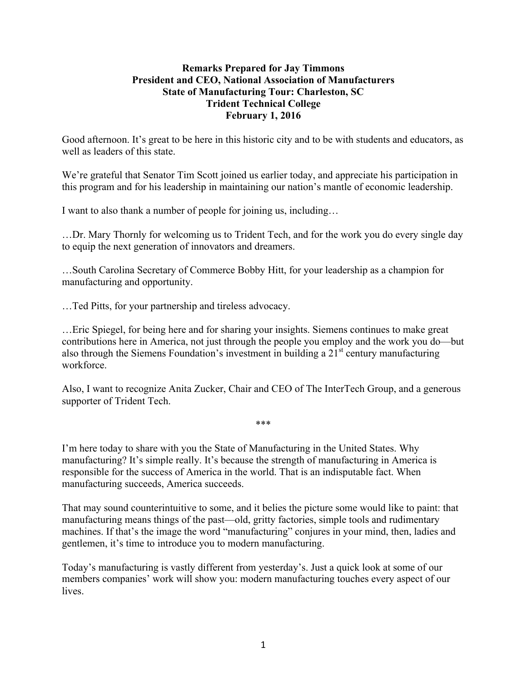## **Remarks Prepared for Jay Timmons President and CEO, National Association of Manufacturers State of Manufacturing Tour: Charleston, SC Trident Technical College February 1, 2016**

Good afternoon. It's great to be here in this historic city and to be with students and educators, as well as leaders of this state.

We're grateful that Senator Tim Scott joined us earlier today, and appreciate his participation in this program and for his leadership in maintaining our nation's mantle of economic leadership.

I want to also thank a number of people for joining us, including…

…Dr. Mary Thornly for welcoming us to Trident Tech, and for the work you do every single day to equip the next generation of innovators and dreamers.

…South Carolina Secretary of Commerce Bobby Hitt, for your leadership as a champion for manufacturing and opportunity.

…Ted Pitts, for your partnership and tireless advocacy.

…Eric Spiegel, for being here and for sharing your insights. Siemens continues to make great contributions here in America, not just through the people you employ and the work you do—but also through the Siemens Foundation's investment in building a  $21<sup>st</sup>$  century manufacturing workforce.

Also, I want to recognize Anita Zucker, Chair and CEO of The InterTech Group, and a generous supporter of Trident Tech.

\*\*\*

I'm here today to share with you the State of Manufacturing in the United States. Why manufacturing? It's simple really. It's because the strength of manufacturing in America is responsible for the success of America in the world. That is an indisputable fact. When manufacturing succeeds, America succeeds.

That may sound counterintuitive to some, and it belies the picture some would like to paint: that manufacturing means things of the past—old, gritty factories, simple tools and rudimentary machines. If that's the image the word "manufacturing" conjures in your mind, then, ladies and gentlemen, it's time to introduce you to modern manufacturing.

Today's manufacturing is vastly different from yesterday's. Just a quick look at some of our members companies' work will show you: modern manufacturing touches every aspect of our lives.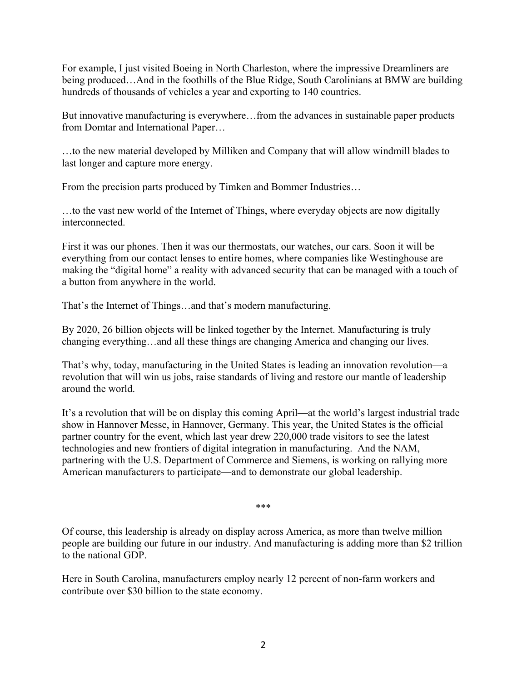For example, I just visited Boeing in North Charleston, where the impressive Dreamliners are being produced…And in the foothills of the Blue Ridge, South Carolinians at BMW are building hundreds of thousands of vehicles a year and exporting to 140 countries.

But innovative manufacturing is everywhere…from the advances in sustainable paper products from Domtar and International Paper…

…to the new material developed by Milliken and Company that will allow windmill blades to last longer and capture more energy.

From the precision parts produced by Timken and Bommer Industries…

…to the vast new world of the Internet of Things, where everyday objects are now digitally interconnected.

First it was our phones. Then it was our thermostats, our watches, our cars. Soon it will be everything from our contact lenses to entire homes, where companies like Westinghouse are making the "digital home" a reality with advanced security that can be managed with a touch of a button from anywhere in the world.

That's the Internet of Things…and that's modern manufacturing.

By 2020, 26 billion objects will be linked together by the Internet. Manufacturing is truly changing everything…and all these things are changing America and changing our lives.

That's why, today, manufacturing in the United States is leading an innovation revolution—a revolution that will win us jobs, raise standards of living and restore our mantle of leadership around the world.

It's a revolution that will be on display this coming April—at the world's largest industrial trade show in Hannover Messe, in Hannover, Germany. This year, the United States is the official partner country for the event, which last year drew 220,000 trade visitors to see the latest technologies and new frontiers of digital integration in manufacturing. And the NAM, partnering with the U.S. Department of Commerce and Siemens, is working on rallying more American manufacturers to participate—and to demonstrate our global leadership.

\*\*\*

Of course, this leadership is already on display across America, as more than twelve million people are building our future in our industry. And manufacturing is adding more than \$2 trillion to the national GDP.

Here in South Carolina, manufacturers employ nearly 12 percent of non-farm workers and contribute over \$30 billion to the state economy.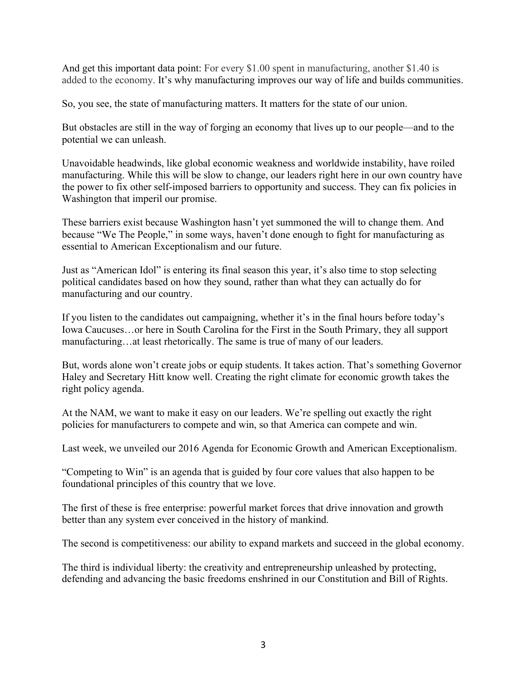And get this important data point: For every \$1.00 spent in manufacturing, another \$1.40 is added to the economy. It's why manufacturing improves our way of life and builds communities.

So, you see, the state of manufacturing matters. It matters for the state of our union.

But obstacles are still in the way of forging an economy that lives up to our people—and to the potential we can unleash.

Unavoidable headwinds, like global economic weakness and worldwide instability, have roiled manufacturing. While this will be slow to change, our leaders right here in our own country have the power to fix other self-imposed barriers to opportunity and success. They can fix policies in Washington that imperil our promise.

These barriers exist because Washington hasn't yet summoned the will to change them. And because "We The People," in some ways, haven't done enough to fight for manufacturing as essential to American Exceptionalism and our future.

Just as "American Idol" is entering its final season this year, it's also time to stop selecting political candidates based on how they sound, rather than what they can actually do for manufacturing and our country.

If you listen to the candidates out campaigning, whether it's in the final hours before today's Iowa Caucuses…or here in South Carolina for the First in the South Primary, they all support manufacturing…at least rhetorically. The same is true of many of our leaders.

But, words alone won't create jobs or equip students. It takes action. That's something Governor Haley and Secretary Hitt know well. Creating the right climate for economic growth takes the right policy agenda.

At the NAM, we want to make it easy on our leaders. We're spelling out exactly the right policies for manufacturers to compete and win, so that America can compete and win.

Last week, we unveiled our 2016 Agenda for Economic Growth and American Exceptionalism.

"Competing to Win" is an agenda that is guided by four core values that also happen to be foundational principles of this country that we love.

The first of these is free enterprise: powerful market forces that drive innovation and growth better than any system ever conceived in the history of mankind.

The second is competitiveness: our ability to expand markets and succeed in the global economy.

The third is individual liberty: the creativity and entrepreneurship unleashed by protecting, defending and advancing the basic freedoms enshrined in our Constitution and Bill of Rights.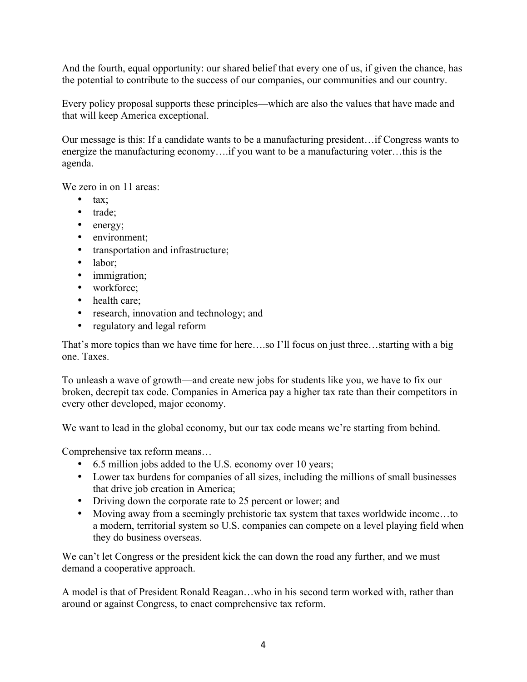And the fourth, equal opportunity: our shared belief that every one of us, if given the chance, has the potential to contribute to the success of our companies, our communities and our country.

Every policy proposal supports these principles—which are also the values that have made and that will keep America exceptional.

Our message is this: If a candidate wants to be a manufacturing president…if Congress wants to energize the manufacturing economy….if you want to be a manufacturing voter…this is the agenda.

We zero in on 11 areas:

- tax;
- trade;
- energy;
- environment;
- transportation and infrastructure;
- labor;
- immigration;
- workforce;
- health care;
- research, innovation and technology; and
- regulatory and legal reform

That's more topics than we have time for here….so I'll focus on just three…starting with a big one. Taxes.

To unleash a wave of growth—and create new jobs for students like you, we have to fix our broken, decrepit tax code. Companies in America pay a higher tax rate than their competitors in every other developed, major economy.

We want to lead in the global economy, but our tax code means we're starting from behind.

Comprehensive tax reform means…

- 6.5 million jobs added to the U.S. economy over 10 years;
- Lower tax burdens for companies of all sizes, including the millions of small businesses that drive job creation in America;
- Driving down the corporate rate to 25 percent or lower; and
- Moving away from a seemingly prehistoric tax system that taxes worldwide income...to a modern, territorial system so U.S. companies can compete on a level playing field when they do business overseas.

We can't let Congress or the president kick the can down the road any further, and we must demand a cooperative approach.

A model is that of President Ronald Reagan…who in his second term worked with, rather than around or against Congress, to enact comprehensive tax reform.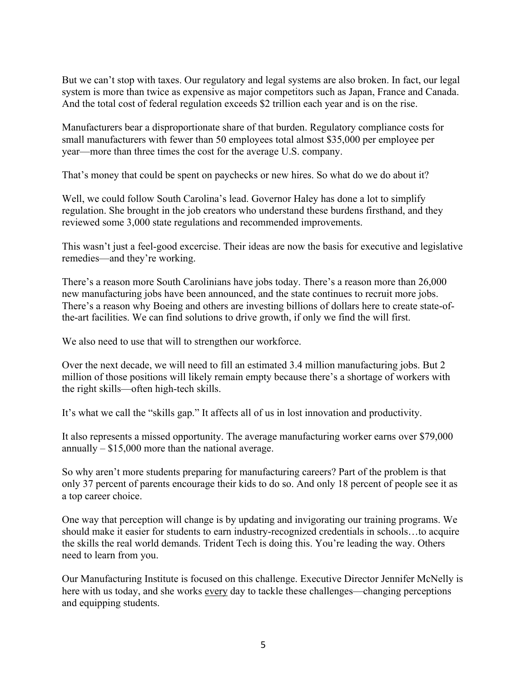But we can't stop with taxes. Our regulatory and legal systems are also broken. In fact, our legal system is more than twice as expensive as major competitors such as Japan, France and Canada. And the total cost of federal regulation exceeds \$2 trillion each year and is on the rise.

Manufacturers bear a disproportionate share of that burden. Regulatory compliance costs for small manufacturers with fewer than 50 employees total almost \$35,000 per employee per year—more than three times the cost for the average U.S. company.

That's money that could be spent on paychecks or new hires. So what do we do about it?

Well, we could follow South Carolina's lead. Governor Haley has done a lot to simplify regulation. She brought in the job creators who understand these burdens firsthand, and they reviewed some 3,000 state regulations and recommended improvements.

This wasn't just a feel-good excercise. Their ideas are now the basis for executive and legislative remedies—and they're working.

There's a reason more South Carolinians have jobs today. There's a reason more than 26,000 new manufacturing jobs have been announced, and the state continues to recruit more jobs. There's a reason why Boeing and others are investing billions of dollars here to create state-ofthe-art facilities. We can find solutions to drive growth, if only we find the will first.

We also need to use that will to strengthen our workforce.

Over the next decade, we will need to fill an estimated 3.4 million manufacturing jobs. But 2 million of those positions will likely remain empty because there's a shortage of workers with the right skills—often high-tech skills.

It's what we call the "skills gap." It affects all of us in lost innovation and productivity.

It also represents a missed opportunity. The average manufacturing worker earns over \$79,000 annually  $-$  \$15,000 more than the national average.

So why aren't more students preparing for manufacturing careers? Part of the problem is that only 37 percent of parents encourage their kids to do so. And only 18 percent of people see it as a top career choice.

One way that perception will change is by updating and invigorating our training programs. We should make it easier for students to earn industry-recognized credentials in schools…to acquire the skills the real world demands. Trident Tech is doing this. You're leading the way. Others need to learn from you.

Our Manufacturing Institute is focused on this challenge. Executive Director Jennifer McNelly is here with us today, and she works every day to tackle these challenges—changing perceptions and equipping students.